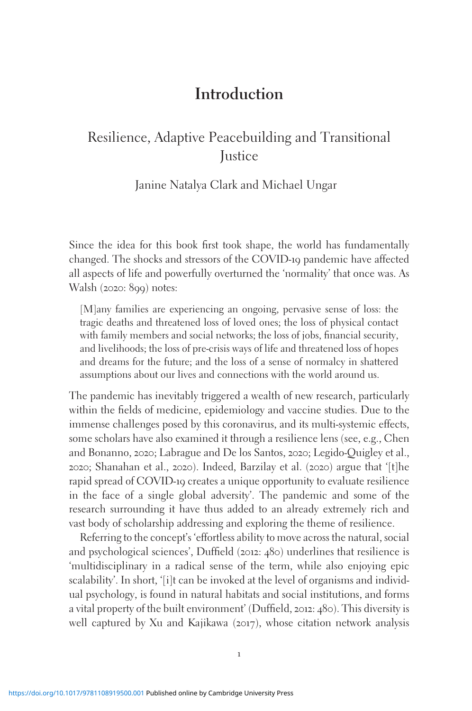# **Introduction**

# Resilience, Adaptive Peacebuilding and Transitional **Justice**

Janine Natalya Clark and Michael Ungar

Since the idea for this book first took shape, the world has fundamentally changed. The shocks and stressors of the COVID-19 pandemic have affected all aspects of life and powerfully overturned the 'normality' that once was. As Walsh (2020: 899) notes:

[M]any families are experiencing an ongoing, pervasive sense of loss: the tragic deaths and threatened loss of loved ones; the loss of physical contact with family members and social networks; the loss of jobs, financial security, and livelihoods; the loss of pre-crisis ways of life and threatened loss of hopes and dreams for the future; and the loss of a sense of normalcy in shattered assumptions about our lives and connections with the world around us.

The pandemic has inevitably triggered a wealth of new research, particularly within the fields of medicine, epidemiology and vaccine studies. Due to the immense challenges posed by this coronavirus, and its multi-systemic effects, some scholars have also examined it through a resilience lens (see, e.g., Chen and Bonanno, 2020; Labrague and De los Santos, 2020; Legido-Quigley et al., 2020; Shanahan et al., 2020). Indeed, Barzilay et al. (2020) argue that '[t]he rapid spread of COVID-19 creates a unique opportunity to evaluate resilience in the face of a single global adversity'. The pandemic and some of the research surrounding it have thus added to an already extremely rich and vast body of scholarship addressing and exploring the theme of resilience.

Referring to the concept's 'effortless ability to move across the natural, social and psychological sciences', Duffield (2012: 480) underlines that resilience is 'multidisciplinary in a radical sense of the term, while also enjoying epic scalability'. In short, '[i]t can be invoked at the level of organisms and individual psychology, is found in natural habitats and social institutions, and forms a vital property of the built environment' (Duffield, 2012: 480). This diversity is well captured by Xu and Kajikawa (2017), whose citation network analysis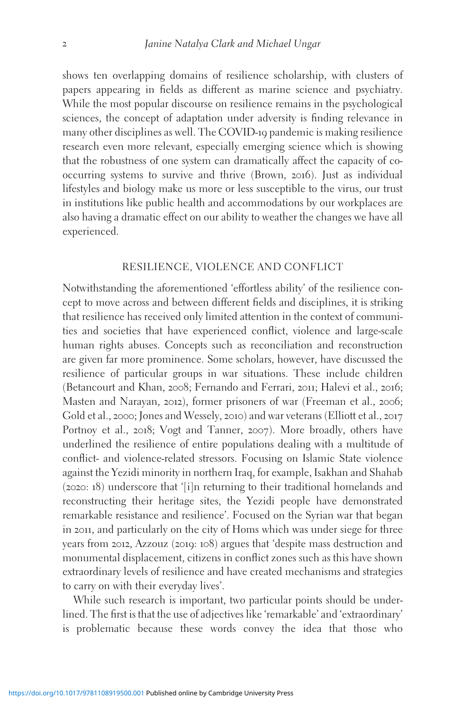shows ten overlapping domains of resilience scholarship, with clusters of papers appearing in fields as different as marine science and psychiatry. While the most popular discourse on resilience remains in the psychological sciences, the concept of adaptation under adversity is finding relevance in many other disciplines as well. The COVID-19 pandemic is making resilience research even more relevant, especially emerging science which is showing that the robustness of one system can dramatically affect the capacity of cooccurring systems to survive and thrive (Brown, 2016). Just as individual lifestyles and biology make us more or less susceptible to the virus, our trust in institutions like public health and accommodations by our workplaces are also having a dramatic effect on our ability to weather the changes we have all experienced.

## RESILIENCE, VIOLENCE AND CONFLICT

Notwithstanding the aforementioned 'effortless ability' of the resilience concept to move across and between different fields and disciplines, it is striking that resilience has received only limited attention in the context of communities and societies that have experienced conflict, violence and large-scale human rights abuses. Concepts such as reconciliation and reconstruction are given far more prominence. Some scholars, however, have discussed the resilience of particular groups in war situations. These include children (Betancourt and Khan, 2008; Fernando and Ferrari, 2011; Halevi et al., 2016; Masten and Narayan, 2012), former prisoners of war (Freeman et al., 2006; Gold et al., 2000; Jones and Wessely, 2010) and war veterans (Elliott et al., 2017 Portnoy et al., 2018; Vogt and Tanner, 2007). More broadly, others have underlined the resilience of entire populations dealing with a multitude of conflict- and violence-related stressors. Focusing on Islamic State violence against the Yezidi minority in northern Iraq, for example, Isakhan and Shahab (2020: 18) underscore that '[i]n returning to their traditional homelands and reconstructing their heritage sites, the Yezidi people have demonstrated remarkable resistance and resilience'. Focused on the Syrian war that began in 2011, and particularly on the city of Homs which was under siege for three years from 2012, Azzouz (2019: 108) argues that 'despite mass destruction and monumental displacement, citizens in conflict zones such as this have shown extraordinary levels of resilience and have created mechanisms and strategies to carry on with their everyday lives'.

While such research is important, two particular points should be underlined. The first is that the use of adjectives like 'remarkable' and 'extraordinary' is problematic because these words convey the idea that those who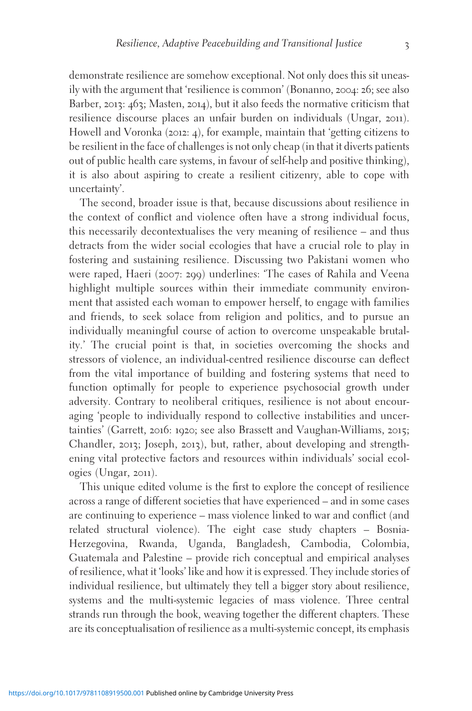demonstrate resilience are somehow exceptional. Not only does this sit uneasily with the argument that 'resilience is common' (Bonanno, 2004: 26; see also Barber, 2013: 463; Masten, 2014), but it also feeds the normative criticism that resilience discourse places an unfair burden on individuals (Ungar, 2011). Howell and Voronka (2012: 4), for example, maintain that 'getting citizens to be resilient in the face of challenges is not only cheap (in that it diverts patients out of public health care systems, in favour of self-help and positive thinking), it is also about aspiring to create a resilient citizenry, able to cope with uncertainty'.

The second, broader issue is that, because discussions about resilience in the context of conflict and violence often have a strong individual focus, this necessarily decontextualises the very meaning of resilience – and thus detracts from the wider social ecologies that have a crucial role to play in fostering and sustaining resilience. Discussing two Pakistani women who were raped, Haeri (2007: 299) underlines: 'The cases of Rahila and Veena highlight multiple sources within their immediate community environment that assisted each woman to empower herself, to engage with families and friends, to seek solace from religion and politics, and to pursue an individually meaningful course of action to overcome unspeakable brutality.' The crucial point is that, in societies overcoming the shocks and stressors of violence, an individual-centred resilience discourse can deflect from the vital importance of building and fostering systems that need to function optimally for people to experience psychosocial growth under adversity. Contrary to neoliberal critiques, resilience is not about encouraging 'people to individually respond to collective instabilities and uncertainties' (Garrett, 2016: 1920; see also Brassett and Vaughan-Williams, 2015; Chandler, 2013; Joseph, 2013), but, rather, about developing and strengthening vital protective factors and resources within individuals' social ecologies (Ungar, 2011).

This unique edited volume is the first to explore the concept of resilience across a range of different societies that have experienced – and in some cases are continuing to experience – mass violence linked to war and conflict (and related structural violence). The eight case study chapters – Bosnia-Herzegovina, Rwanda, Uganda, Bangladesh, Cambodia, Colombia, Guatemala and Palestine – provide rich conceptual and empirical analyses of resilience, what it 'looks' like and how it is expressed. They include stories of individual resilience, but ultimately they tell a bigger story about resilience, systems and the multi-systemic legacies of mass violence. Three central strands run through the book, weaving together the different chapters. These are its conceptualisation of resilience as a multi-systemic concept, its emphasis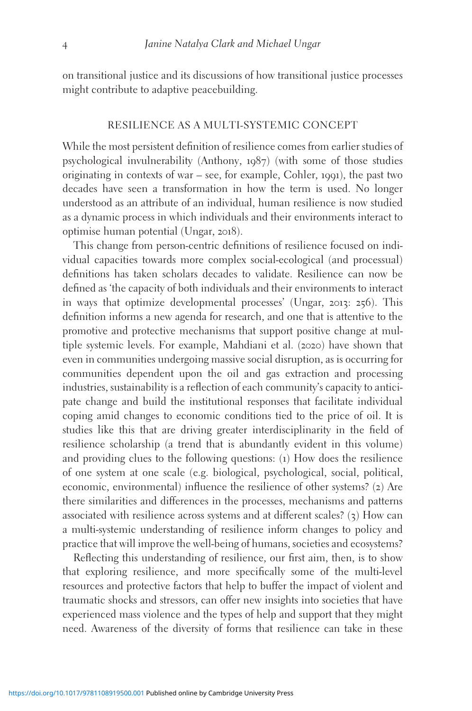on transitional justice and its discussions of how transitional justice processes might contribute to adaptive peacebuilding.

### RESILIENCE AS A MULTI-SYSTEMIC CONCEPT

While the most persistent definition of resilience comes from earlier studies of psychological invulnerability (Anthony, 1987) (with some of those studies originating in contexts of war – see, for example, Cohler, 1991), the past two decades have seen a transformation in how the term is used. No longer understood as an attribute of an individual, human resilience is now studied as a dynamic process in which individuals and their environments interact to optimise human potential (Ungar, 2018).

This change from person-centric definitions of resilience focused on individual capacities towards more complex social-ecological (and processual) definitions has taken scholars decades to validate. Resilience can now be defined as 'the capacity of both individuals and their environments to interact in ways that optimize developmental processes' (Ungar, 2013: 256). This definition informs a new agenda for research, and one that is attentive to the promotive and protective mechanisms that support positive change at multiple systemic levels. For example, Mahdiani et al. (2020) have shown that even in communities undergoing massive social disruption, as is occurring for communities dependent upon the oil and gas extraction and processing industries, sustainability is a reflection of each community's capacity to anticipate change and build the institutional responses that facilitate individual coping amid changes to economic conditions tied to the price of oil. It is studies like this that are driving greater interdisciplinarity in the field of resilience scholarship (a trend that is abundantly evident in this volume) and providing clues to the following questions: (1) How does the resilience of one system at one scale (e.g. biological, psychological, social, political, economic, environmental) influence the resilience of other systems? (2) Are there similarities and differences in the processes, mechanisms and patterns associated with resilience across systems and at different scales? (3) How can a multi-systemic understanding of resilience inform changes to policy and practice that will improve the well-being of humans, societies and ecosystems?

Reflecting this understanding of resilience, our first aim, then, is to show that exploring resilience, and more specifically some of the multi-level resources and protective factors that help to buffer the impact of violent and traumatic shocks and stressors, can offer new insights into societies that have experienced mass violence and the types of help and support that they might need. Awareness of the diversity of forms that resilience can take in these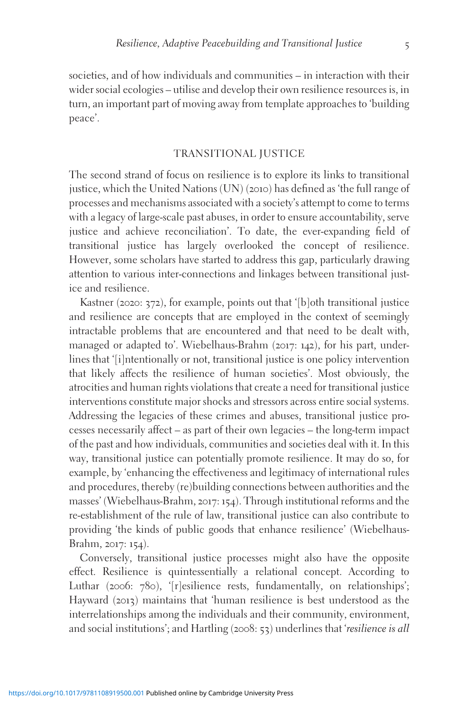societies, and of how individuals and communities – in interaction with their wider social ecologies – utilise and develop their own resilience resources is, in turn, an important part of moving away from template approaches to 'building peace'.

#### TRANSITIONAL JUSTICE

The second strand of focus on resilience is to explore its links to transitional justice, which the United Nations (UN) (2010) has defined as 'the full range of processes and mechanisms associated with a society's attempt to come to terms with a legacy of large-scale past abuses, in order to ensure accountability, serve justice and achieve reconciliation'. To date, the ever-expanding field of transitional justice has largely overlooked the concept of resilience. However, some scholars have started to address this gap, particularly drawing attention to various inter-connections and linkages between transitional justice and resilience.

Kastner (2020: 372), for example, points out that '[b]oth transitional justice and resilience are concepts that are employed in the context of seemingly intractable problems that are encountered and that need to be dealt with, managed or adapted to'. Wiebelhaus-Brahm (2017: 142), for his part, underlines that '[i]ntentionally or not, transitional justice is one policy intervention that likely affects the resilience of human societies'. Most obviously, the atrocities and human rights violations that create a need for transitional justice interventions constitute major shocks and stressors across entire social systems. Addressing the legacies of these crimes and abuses, transitional justice processes necessarily affect – as part of their own legacies – the long-term impact of the past and how individuals, communities and societies deal with it. In this way, transitional justice can potentially promote resilience. It may do so, for example, by 'enhancing the effectiveness and legitimacy of international rules and procedures, thereby (re)building connections between authorities and the masses' (Wiebelhaus-Brahm, 2017: 154). Through institutional reforms and the re-establishment of the rule of law, transitional justice can also contribute to providing 'the kinds of public goods that enhance resilience' (Wiebelhaus-Brahm, 2017: 154).

Conversely, transitional justice processes might also have the opposite effect. Resilience is quintessentially a relational concept. According to Luthar (2006: 780), '[r]esilience rests, fundamentally, on relationships'; Hayward (2013) maintains that 'human resilience is best understood as the interrelationships among the individuals and their community, environment, and social institutions'; and Hartling (2008: 53) underlines that 'resilience is all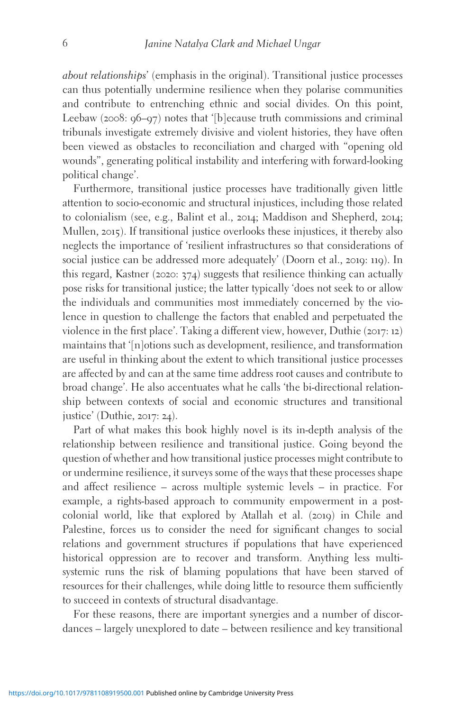about relationships' (emphasis in the original). Transitional justice processes can thus potentially undermine resilience when they polarise communities and contribute to entrenching ethnic and social divides. On this point, Leebaw (2008: 96–97) notes that '[b]ecause truth commissions and criminal tribunals investigate extremely divisive and violent histories, they have often been viewed as obstacles to reconciliation and charged with "opening old wounds", generating political instability and interfering with forward-looking political change'.

Furthermore, transitional justice processes have traditionally given little attention to socio-economic and structural injustices, including those related to colonialism (see, e.g., Balint et al., 2014; Maddison and Shepherd, 2014; Mullen, 2015). If transitional justice overlooks these injustices, it thereby also neglects the importance of 'resilient infrastructures so that considerations of social justice can be addressed more adequately' (Doorn et al., 2019: 119). In this regard, Kastner (2020: 374) suggests that resilience thinking can actually pose risks for transitional justice; the latter typically 'does not seek to or allow the individuals and communities most immediately concerned by the violence in question to challenge the factors that enabled and perpetuated the violence in the first place'. Taking a different view, however, Duthie (2017: 12) maintains that '[n]otions such as development, resilience, and transformation are useful in thinking about the extent to which transitional justice processes are affected by and can at the same time address root causes and contribute to broad change'. He also accentuates what he calls 'the bi-directional relationship between contexts of social and economic structures and transitional justice' (Duthie, 2017: 24).

Part of what makes this book highly novel is its in-depth analysis of the relationship between resilience and transitional justice. Going beyond the question of whether and how transitional justice processes might contribute to or undermine resilience, it surveys some of the ways that these processes shape and affect resilience – across multiple systemic levels – in practice. For example, a rights-based approach to community empowerment in a postcolonial world, like that explored by Atallah et al. (2019) in Chile and Palestine, forces us to consider the need for significant changes to social relations and government structures if populations that have experienced historical oppression are to recover and transform. Anything less multisystemic runs the risk of blaming populations that have been starved of resources for their challenges, while doing little to resource them sufficiently to succeed in contexts of structural disadvantage.

For these reasons, there are important synergies and a number of discordances – largely unexplored to date – between resilience and key transitional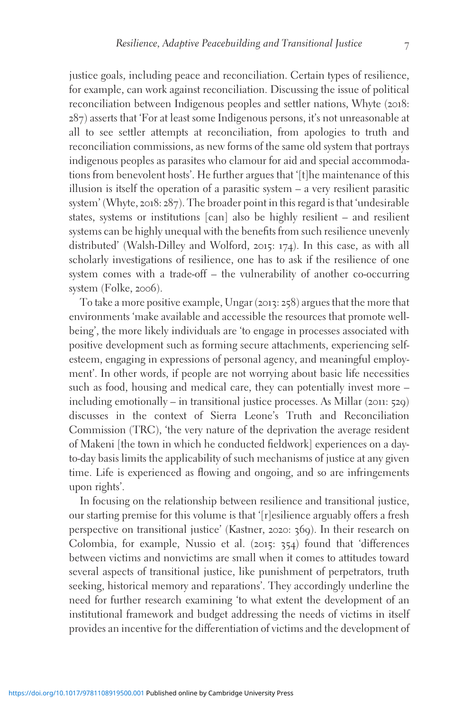justice goals, including peace and reconciliation. Certain types of resilience, for example, can work against reconciliation. Discussing the issue of political reconciliation between Indigenous peoples and settler nations, Whyte (2018: 287) asserts that 'For at least some Indigenous persons, it's not unreasonable at all to see settler attempts at reconciliation, from apologies to truth and reconciliation commissions, as new forms of the same old system that portrays indigenous peoples as parasites who clamour for aid and special accommodations from benevolent hosts'. He further argues that '[t]he maintenance of this illusion is itself the operation of a parasitic system – a very resilient parasitic system' (Whyte, 2018: 287). The broader point in this regard is that 'undesirable states, systems or institutions [can] also be highly resilient – and resilient systems can be highly unequal with the benefits from such resilience unevenly distributed' (Walsh-Dilley and Wolford, 2015: 174). In this case, as with all scholarly investigations of resilience, one has to ask if the resilience of one system comes with a trade-off – the vulnerability of another co-occurring system (Folke, 2006).

To take a more positive example, Ungar (2013: 258) argues that the more that environments 'make available and accessible the resources that promote wellbeing', the more likely individuals are 'to engage in processes associated with positive development such as forming secure attachments, experiencing selfesteem, engaging in expressions of personal agency, and meaningful employment'. In other words, if people are not worrying about basic life necessities such as food, housing and medical care, they can potentially invest more – including emotionally – in transitional justice processes. As Millar (2011: 529) discusses in the context of Sierra Leone's Truth and Reconciliation Commission (TRC), 'the very nature of the deprivation the average resident of Makeni [the town in which he conducted fieldwork] experiences on a dayto-day basis limits the applicability of such mechanisms of justice at any given time. Life is experienced as flowing and ongoing, and so are infringements upon rights'.

In focusing on the relationship between resilience and transitional justice, our starting premise for this volume is that '[r]esilience arguably offers a fresh perspective on transitional justice' (Kastner, 2020: 369). In their research on Colombia, for example, Nussio et al. (2015: 354) found that 'differences between victims and nonvictims are small when it comes to attitudes toward several aspects of transitional justice, like punishment of perpetrators, truth seeking, historical memory and reparations'. They accordingly underline the need for further research examining 'to what extent the development of an institutional framework and budget addressing the needs of victims in itself provides an incentive for the differentiation of victims and the development of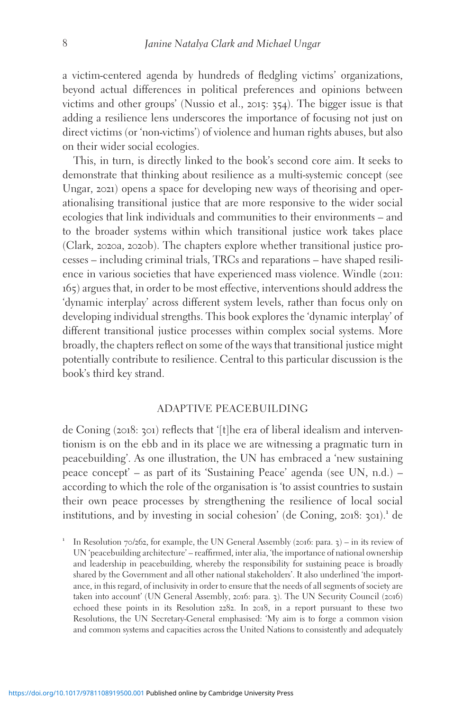a victim-centered agenda by hundreds of fledgling victims' organizations, beyond actual differences in political preferences and opinions between victims and other groups' (Nussio et al., 2015: 354). The bigger issue is that adding a resilience lens underscores the importance of focusing not just on direct victims (or 'non-victims') of violence and human rights abuses, but also on their wider social ecologies.

This, in turn, is directly linked to the book's second core aim. It seeks to demonstrate that thinking about resilience as a multi-systemic concept (see Ungar, 2021) opens a space for developing new ways of theorising and operationalising transitional justice that are more responsive to the wider social ecologies that link individuals and communities to their environments – and to the broader systems within which transitional justice work takes place (Clark, 2020a, 2020b). The chapters explore whether transitional justice processes – including criminal trials, TRCs and reparations – have shaped resilience in various societies that have experienced mass violence. Windle (2011: 165) argues that, in order to be most effective, interventions should address the 'dynamic interplay' across different system levels, rather than focus only on developing individual strengths. This book explores the 'dynamic interplay' of different transitional justice processes within complex social systems. More broadly, the chapters reflect on some of the ways that transitional justice might potentially contribute to resilience. Central to this particular discussion is the book's third key strand.

## ADAPTIVE PEACEBUILDING

de Coning (2018: 301) reflects that '[t]he era of liberal idealism and interventionism is on the ebb and in its place we are witnessing a pragmatic turn in peacebuilding'. As one illustration, the UN has embraced a 'new sustaining peace concept' – as part of its 'Sustaining Peace' agenda (see UN, n.d.) – according to which the role of the organisation is 'to assist countries to sustain their own peace processes by strengthening the resilience of local social institutions, and by investing in social cohesion' (de Coning,  $2018$ :  $301$ ).<sup>1</sup> de

<sup>1</sup> In Resolution  $70/262$ , for example, the UN General Assembly (2016: para. 3) – in its review of UN 'peacebuilding architecture' – reaffirmed, inter alia, 'the importance of national ownership and leadership in peacebuilding, whereby the responsibility for sustaining peace is broadly shared by the Government and all other national stakeholders'. It also underlined 'the importance, in this regard, of inclusivity in order to ensure that the needs of all segments of society are taken into account' (UN General Assembly, 2016: para. 3). The UN Security Council (2016) echoed these points in its Resolution 2282. In 2018, in a report pursuant to these two Resolutions, the UN Secretary-General emphasised: 'My aim is to forge a common vision and common systems and capacities across the United Nations to consistently and adequately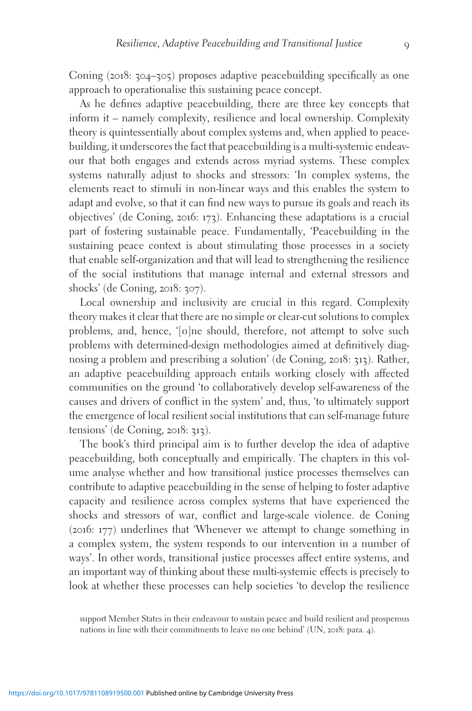Coning (2018: 304–305) proposes adaptive peacebuilding specifically as one approach to operationalise this sustaining peace concept.

As he defines adaptive peacebuilding, there are three key concepts that inform it – namely complexity, resilience and local ownership. Complexity theory is quintessentially about complex systems and, when applied to peacebuilding, it underscores the fact that peacebuilding is a multi-systemic endeavour that both engages and extends across myriad systems. These complex systems naturally adjust to shocks and stressors: 'In complex systems, the elements react to stimuli in non-linear ways and this enables the system to adapt and evolve, so that it can find new ways to pursue its goals and reach its objectives' (de Coning, 2016: 173). Enhancing these adaptations is a crucial part of fostering sustainable peace. Fundamentally, 'Peacebuilding in the sustaining peace context is about stimulating those processes in a society that enable self-organization and that will lead to strengthening the resilience of the social institutions that manage internal and external stressors and shocks' (de Coning, 2018: 307).

Local ownership and inclusivity are crucial in this regard. Complexity theory makes it clear that there are no simple or clear-cut solutions to complex problems, and, hence, '[o]ne should, therefore, not attempt to solve such problems with determined-design methodologies aimed at definitively diagnosing a problem and prescribing a solution' (de Coning, 2018: 313). Rather, an adaptive peacebuilding approach entails working closely with affected communities on the ground 'to collaboratively develop self-awareness of the causes and drivers of conflict in the system' and, thus, 'to ultimately support the emergence of local resilient social institutions that can self-manage future tensions' (de Coning, 2018: 313).

The book's third principal aim is to further develop the idea of adaptive peacebuilding, both conceptually and empirically. The chapters in this volume analyse whether and how transitional justice processes themselves can contribute to adaptive peacebuilding in the sense of helping to foster adaptive capacity and resilience across complex systems that have experienced the shocks and stressors of war, conflict and large-scale violence. de Coning (2016: 177) underlines that 'Whenever we attempt to change something in a complex system, the system responds to our intervention in a number of ways'. In other words, transitional justice processes affect entire systems, and an important way of thinking about these multi-systemic effects is precisely to look at whether these processes can help societies 'to develop the resilience

support Member States in their endeavour to sustain peace and build resilient and prosperous nations in line with their commitments to leave no one behind' (UN, 2018: para. 4).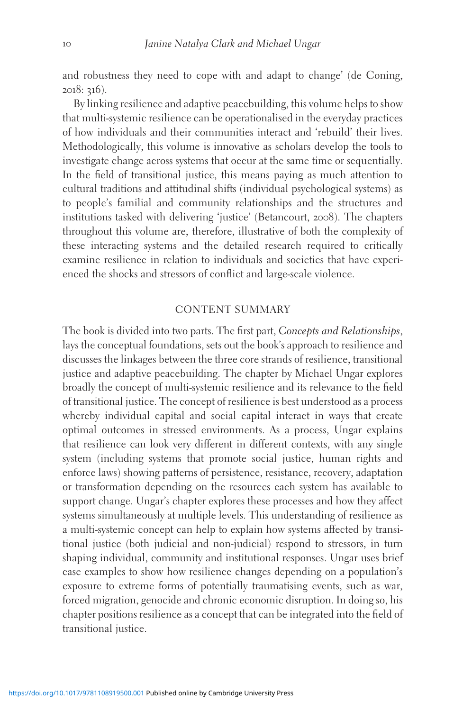and robustness they need to cope with and adapt to change' (de Coning, 2018: 316).

By linking resilience and adaptive peacebuilding, this volume helps to show that multi-systemic resilience can be operationalised in the everyday practices of how individuals and their communities interact and 'rebuild' their lives. Methodologically, this volume is innovative as scholars develop the tools to investigate change across systems that occur at the same time or sequentially. In the field of transitional justice, this means paying as much attention to cultural traditions and attitudinal shifts (individual psychological systems) as to people's familial and community relationships and the structures and institutions tasked with delivering 'justice' (Betancourt, 2008). The chapters throughout this volume are, therefore, illustrative of both the complexity of these interacting systems and the detailed research required to critically examine resilience in relation to individuals and societies that have experienced the shocks and stressors of conflict and large-scale violence.

## CONTENT SUMMARY

The book is divided into two parts. The first part, Concepts and Relationships, lays the conceptual foundations, sets out the book's approach to resilience and discusses the linkages between the three core strands of resilience, transitional justice and adaptive peacebuilding. The chapter by Michael Ungar explores broadly the concept of multi-systemic resilience and its relevance to the field of transitional justice. The concept of resilience is best understood as a process whereby individual capital and social capital interact in ways that create optimal outcomes in stressed environments. As a process, Ungar explains that resilience can look very different in different contexts, with any single system (including systems that promote social justice, human rights and enforce laws) showing patterns of persistence, resistance, recovery, adaptation or transformation depending on the resources each system has available to support change. Ungar's chapter explores these processes and how they affect systems simultaneously at multiple levels. This understanding of resilience as a multi-systemic concept can help to explain how systems affected by transitional justice (both judicial and non-judicial) respond to stressors, in turn shaping individual, community and institutional responses. Ungar uses brief case examples to show how resilience changes depending on a population's exposure to extreme forms of potentially traumatising events, such as war, forced migration, genocide and chronic economic disruption. In doing so, his chapter positions resilience as a concept that can be integrated into the field of transitional justice.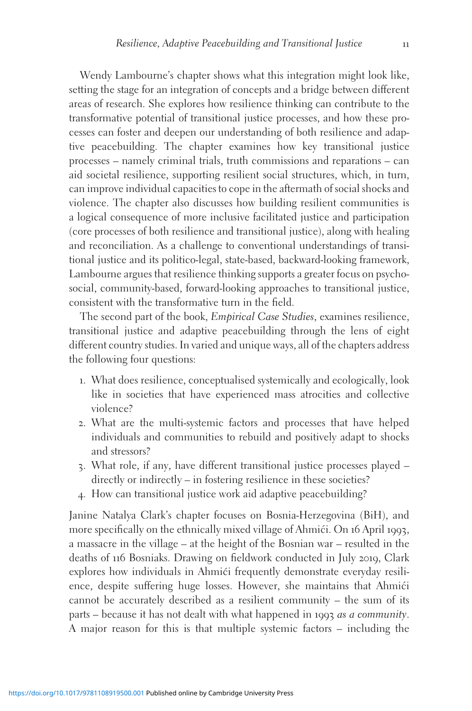Wendy Lambourne's chapter shows what this integration might look like, setting the stage for an integration of concepts and a bridge between different areas of research. She explores how resilience thinking can contribute to the transformative potential of transitional justice processes, and how these processes can foster and deepen our understanding of both resilience and adaptive peacebuilding. The chapter examines how key transitional justice processes – namely criminal trials, truth commissions and reparations – can aid societal resilience, supporting resilient social structures, which, in turn, can improve individual capacities to cope in the aftermath of social shocks and violence. The chapter also discusses how building resilient communities is a logical consequence of more inclusive facilitated justice and participation (core processes of both resilience and transitional justice), along with healing and reconciliation. As a challenge to conventional understandings of transitional justice and its politico-legal, state-based, backward-looking framework, Lambourne argues that resilience thinking supports a greater focus on psychosocial, community-based, forward-looking approaches to transitional justice, consistent with the transformative turn in the field.

The second part of the book, Empirical Case Studies, examines resilience, transitional justice and adaptive peacebuilding through the lens of eight different country studies. In varied and unique ways, all of the chapters address the following four questions:

- 1. What does resilience, conceptualised systemically and ecologically, look like in societies that have experienced mass atrocities and collective violence?
- 2. What are the multi-systemic factors and processes that have helped individuals and communities to rebuild and positively adapt to shocks and stressors?
- 3. What role, if any, have different transitional justice processes played directly or indirectly – in fostering resilience in these societies?
- 4. How can transitional justice work aid adaptive peacebuilding?

Janine Natalya Clark's chapter focuses on Bosnia-Herzegovina (BiH), and more specifically on the ethnically mixed village of Ahmići. On 16 April 1993, a massacre in the village – at the height of the Bosnian war – resulted in the deaths of 116 Bosniaks. Drawing on fieldwork conducted in July 2019, Clark explores how individuals in Ahmići frequently demonstrate everyday resilience, despite suffering huge losses. However, she maintains that Ahmići cannot be accurately described as a resilient community – the sum of its parts – because it has not dealt with what happened in 1993 as a community. A major reason for this is that multiple systemic factors – including the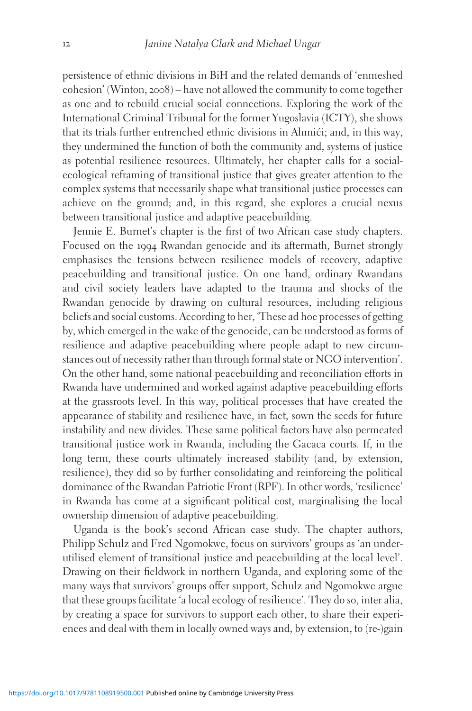persistence of ethnic divisions in BiH and the related demands of 'enmeshed cohesion' (Winton, 2008) – have not allowed the community to come together as one and to rebuild crucial social connections. Exploring the work of the International Criminal Tribunal for the former Yugoslavia (ICTY), she shows that its trials further entrenched ethnic divisions in Ahmići; and, in this way, they undermined the function of both the community and, systems of justice as potential resilience resources. Ultimately, her chapter calls for a socialecological reframing of transitional justice that gives greater attention to the complex systems that necessarily shape what transitional justice processes can achieve on the ground; and, in this regard, she explores a crucial nexus between transitional justice and adaptive peacebuilding.

Jennie E. Burnet's chapter is the first of two African case study chapters. Focused on the 1994 Rwandan genocide and its aftermath, Burnet strongly emphasises the tensions between resilience models of recovery, adaptive peacebuilding and transitional justice. On one hand, ordinary Rwandans and civil society leaders have adapted to the trauma and shocks of the Rwandan genocide by drawing on cultural resources, including religious beliefs and social customs. According to her, 'These ad hoc processes of getting by, which emerged in the wake of the genocide, can be understood as forms of resilience and adaptive peacebuilding where people adapt to new circumstances out of necessity rather than through formal state or NGO intervention'. On the other hand, some national peacebuilding and reconciliation efforts in Rwanda have undermined and worked against adaptive peacebuilding efforts at the grassroots level. In this way, political processes that have created the appearance of stability and resilience have, in fact, sown the seeds for future instability and new divides. These same political factors have also permeated transitional justice work in Rwanda, including the Gacaca courts. If, in the long term, these courts ultimately increased stability (and, by extension, resilience), they did so by further consolidating and reinforcing the political dominance of the Rwandan Patriotic Front (RPF). In other words, 'resilience' in Rwanda has come at a significant political cost, marginalising the local ownership dimension of adaptive peacebuilding.

Uganda is the book's second African case study. The chapter authors, Philipp Schulz and Fred Ngomokwe, focus on survivors' groups as 'an underutilised element of transitional justice and peacebuilding at the local level'. Drawing on their fieldwork in northern Uganda, and exploring some of the many ways that survivors' groups offer support, Schulz and Ngomokwe argue that these groups facilitate 'a local ecology of resilience'. They do so, inter alia, by creating a space for survivors to support each other, to share their experiences and deal with them in locally owned ways and, by extension, to (re-)gain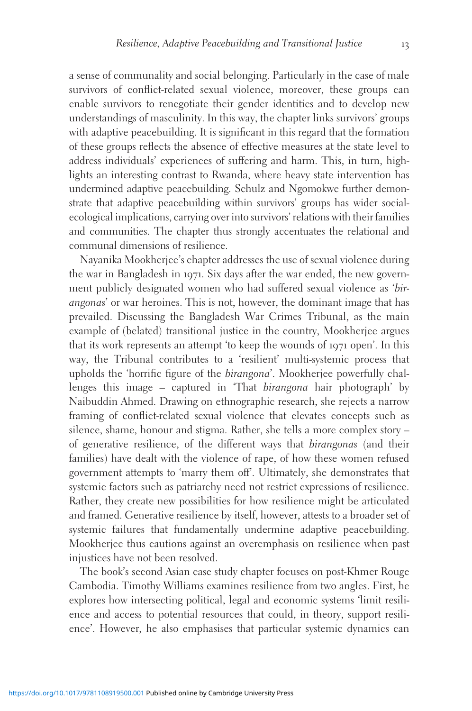a sense of communality and social belonging. Particularly in the case of male survivors of conflict-related sexual violence, moreover, these groups can enable survivors to renegotiate their gender identities and to develop new understandings of masculinity. In this way, the chapter links survivors' groups with adaptive peacebuilding. It is significant in this regard that the formation of these groups reflects the absence of effective measures at the state level to address individuals' experiences of suffering and harm. This, in turn, highlights an interesting contrast to Rwanda, where heavy state intervention has undermined adaptive peacebuilding. Schulz and Ngomokwe further demonstrate that adaptive peacebuilding within survivors' groups has wider socialecological implications, carrying over into survivors' relations with their families and communities. The chapter thus strongly accentuates the relational and communal dimensions of resilience.

Nayanika Mookherjee's chapter addresses the use of sexual violence during the war in Bangladesh in 1971. Six days after the war ended, the new government publicly designated women who had suffered sexual violence as 'birangonas' or war heroines. This is not, however, the dominant image that has prevailed. Discussing the Bangladesh War Crimes Tribunal, as the main example of (belated) transitional justice in the country, Mookherjee argues that its work represents an attempt 'to keep the wounds of 1971 open'. In this way, the Tribunal contributes to a 'resilient' multi-systemic process that upholds the 'horrific figure of the birangona'. Mookherjee powerfully challenges this image – captured in 'That birangona hair photograph' by Naibuddin Ahmed. Drawing on ethnographic research, she rejects a narrow framing of conflict-related sexual violence that elevates concepts such as silence, shame, honour and stigma. Rather, she tells a more complex story – of generative resilience, of the different ways that birangonas (and their families) have dealt with the violence of rape, of how these women refused government attempts to 'marry them off'. Ultimately, she demonstrates that systemic factors such as patriarchy need not restrict expressions of resilience. Rather, they create new possibilities for how resilience might be articulated and framed. Generative resilience by itself, however, attests to a broader set of systemic failures that fundamentally undermine adaptive peacebuilding. Mookherjee thus cautions against an overemphasis on resilience when past injustices have not been resolved.

The book's second Asian case study chapter focuses on post-Khmer Rouge Cambodia. Timothy Williams examines resilience from two angles. First, he explores how intersecting political, legal and economic systems 'limit resilience and access to potential resources that could, in theory, support resilience'. However, he also emphasises that particular systemic dynamics can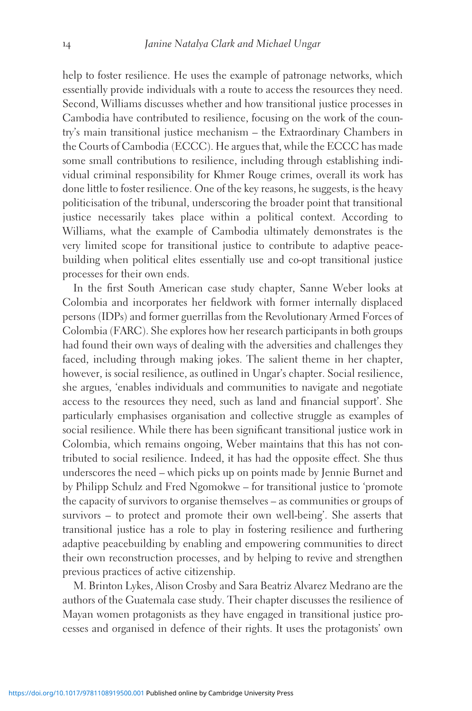help to foster resilience. He uses the example of patronage networks, which essentially provide individuals with a route to access the resources they need. Second, Williams discusses whether and how transitional justice processes in Cambodia have contributed to resilience, focusing on the work of the country's main transitional justice mechanism – the Extraordinary Chambers in the Courts of Cambodia (ECCC). He argues that, while the ECCC has made some small contributions to resilience, including through establishing individual criminal responsibility for Khmer Rouge crimes, overall its work has done little to foster resilience. One of the key reasons, he suggests, is the heavy politicisation of the tribunal, underscoring the broader point that transitional justice necessarily takes place within a political context. According to Williams, what the example of Cambodia ultimately demonstrates is the very limited scope for transitional justice to contribute to adaptive peacebuilding when political elites essentially use and co-opt transitional justice processes for their own ends.

In the first South American case study chapter, Sanne Weber looks at Colombia and incorporates her fieldwork with former internally displaced persons (IDPs) and former guerrillas from the Revolutionary Armed Forces of Colombia (FARC). She explores how her research participants in both groups had found their own ways of dealing with the adversities and challenges they faced, including through making jokes. The salient theme in her chapter, however, is social resilience, as outlined in Ungar's chapter. Social resilience, she argues, 'enables individuals and communities to navigate and negotiate access to the resources they need, such as land and financial support'. She particularly emphasises organisation and collective struggle as examples of social resilience. While there has been significant transitional justice work in Colombia, which remains ongoing, Weber maintains that this has not contributed to social resilience. Indeed, it has had the opposite effect. She thus underscores the need – which picks up on points made by Jennie Burnet and by Philipp Schulz and Fred Ngomokwe – for transitional justice to 'promote the capacity of survivors to organise themselves – as communities or groups of survivors – to protect and promote their own well-being'. She asserts that transitional justice has a role to play in fostering resilience and furthering adaptive peacebuilding by enabling and empowering communities to direct their own reconstruction processes, and by helping to revive and strengthen previous practices of active citizenship.

M. Brinton Lykes, Alison Crosby and Sara Beatriz Alvarez Medrano are the authors of the Guatemala case study. Their chapter discusses the resilience of Mayan women protagonists as they have engaged in transitional justice processes and organised in defence of their rights. It uses the protagonists' own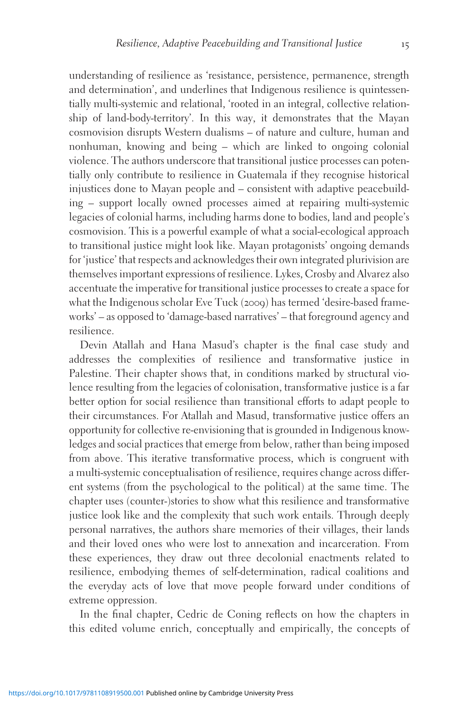understanding of resilience as 'resistance, persistence, permanence, strength and determination', and underlines that Indigenous resilience is quintessentially multi-systemic and relational, 'rooted in an integral, collective relationship of land-body-territory'. In this way, it demonstrates that the Mayan cosmovision disrupts Western dualisms – of nature and culture, human and nonhuman, knowing and being – which are linked to ongoing colonial violence. The authors underscore that transitional justice processes can potentially only contribute to resilience in Guatemala if they recognise historical injustices done to Mayan people and – consistent with adaptive peacebuilding – support locally owned processes aimed at repairing multi-systemic legacies of colonial harms, including harms done to bodies, land and people's cosmovision. This is a powerful example of what a social-ecological approach to transitional justice might look like. Mayan protagonists' ongoing demands for 'justice' that respects and acknowledges their own integrated plurivision are themselves important expressions of resilience. Lykes, Crosby and Alvarez also accentuate the imperative for transitional justice processes to create a space for what the Indigenous scholar Eve Tuck (2009) has termed 'desire-based frameworks' – as opposed to 'damage-based narratives' – that foreground agency and resilience.

Devin Atallah and Hana Masud's chapter is the final case study and addresses the complexities of resilience and transformative justice in Palestine. Their chapter shows that, in conditions marked by structural violence resulting from the legacies of colonisation, transformative justice is a far better option for social resilience than transitional efforts to adapt people to their circumstances. For Atallah and Masud, transformative justice offers an opportunity for collective re-envisioning that is grounded in Indigenous knowledges and social practices that emerge from below, rather than being imposed from above. This iterative transformative process, which is congruent with a multi-systemic conceptualisation of resilience, requires change across different systems (from the psychological to the political) at the same time. The chapter uses (counter-)stories to show what this resilience and transformative justice look like and the complexity that such work entails. Through deeply personal narratives, the authors share memories of their villages, their lands and their loved ones who were lost to annexation and incarceration. From these experiences, they draw out three decolonial enactments related to resilience, embodying themes of self-determination, radical coalitions and the everyday acts of love that move people forward under conditions of extreme oppression.

In the final chapter, Cedric de Coning reflects on how the chapters in this edited volume enrich, conceptually and empirically, the concepts of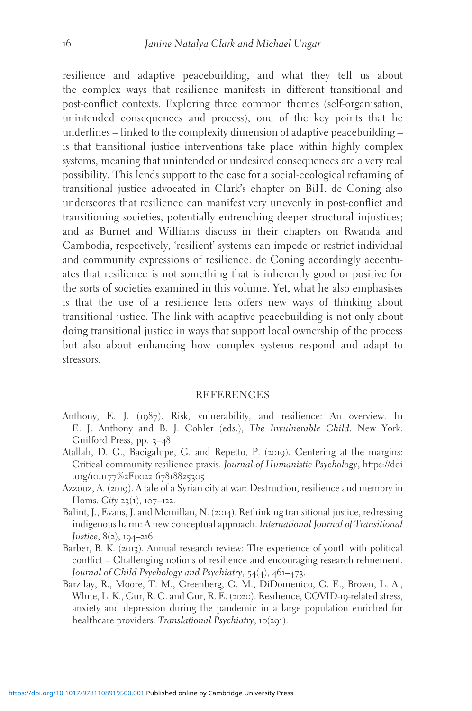resilience and adaptive peacebuilding, and what they tell us about the complex ways that resilience manifests in different transitional and post-conflict contexts. Exploring three common themes (self-organisation, unintended consequences and process), one of the key points that he underlines – linked to the complexity dimension of adaptive peacebuilding – is that transitional justice interventions take place within highly complex systems, meaning that unintended or undesired consequences are a very real possibility. This lends support to the case for a social-ecological reframing of transitional justice advocated in Clark's chapter on BiH. de Coning also underscores that resilience can manifest very unevenly in post-conflict and transitioning societies, potentially entrenching deeper structural injustices; and as Burnet and Williams discuss in their chapters on Rwanda and Cambodia, respectively, 'resilient' systems can impede or restrict individual and community expressions of resilience. de Coning accordingly accentuates that resilience is not something that is inherently good or positive for the sorts of societies examined in this volume. Yet, what he also emphasises is that the use of a resilience lens offers new ways of thinking about transitional justice. The link with adaptive peacebuilding is not only about doing transitional justice in ways that support local ownership of the process but also about enhancing how complex systems respond and adapt to stressors.

### REFERENCES

- Anthony, E. J. (1987). Risk, vulnerability, and resilience: An overview. In E. J. Anthony and B. J. Cohler (eds.), The Invulnerable Child. New York: Guilford Press, pp. 3–48.
- Atallah, D. G., Bacigalupe, G. and Repetto, P. (2019). Centering at the margins: Critical community resilience praxis. Journal of Humanistic Psychology, [https://doi](https://doi.org/10.1177%2F0022167818825305) .org/10.1177%2F[0022167818825305](https://doi.org/10.1177%2F0022167818825305)
- Azzouz, A. (2019). A tale of a Syrian city at war: Destruction, resilience and memory in Homs. City  $23(1)$ ,  $107-122$ .
- Balint, J., Evans, J. and Mcmillan, N. (2014). Rethinking transitional justice, redressing indigenous harm: A new conceptual approach. International Journal of Transitional Justice, 8(2), 194–216.
- Barber, B. K. (2013). Annual research review: The experience of youth with political conflict – Challenging notions of resilience and encouraging research refinement. Journal of Child Psychology and Psychiatry, 54(4), 461–473.
- Barzilay, R., Moore, T. M., Greenberg, G. M., DiDomenico, G. E., Brown, L. A., White, L. K., Gur, R. C. and Gur, R. E. (2020). Resilience, COVID-19-related stress, anxiety and depression during the pandemic in a large population enriched for healthcare providers. Translational Psychiatry, 10(291).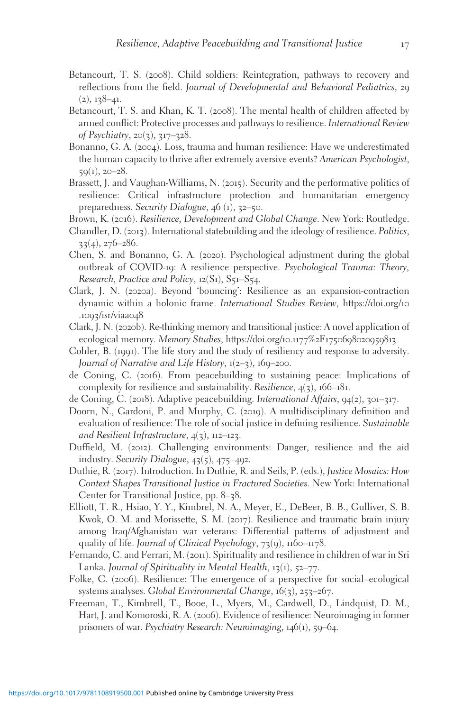- Betancourt, T. S. (2008). Child soldiers: Reintegration, pathways to recovery and reflections from the field. Journal of Developmental and Behavioral Pediatrics, 29  $(2), 138 - 41.$
- Betancourt, T. S. and Khan, K. T. (2008). The mental health of children affected by armed conflict: Protective processes and pathways to resilience. International Review of Psychiatry, 20(3), 317–328.
- Bonanno, G. A. (2004). Loss, trauma and human resilience: Have we underestimated the human capacity to thrive after extremely aversive events? American Psychologist,  $59(1), 20-28.$
- Brassett, J. and Vaughan-Williams, N. (2015). Security and the performative politics of resilience: Critical infrastructure protection and humanitarian emergency preparedness. Security Dialogue, 46 (1), 32–50.
- Brown, K. (2016). Resilience, Development and Global Change. New York: Routledge.
- Chandler, D. (2013). International statebuilding and the ideology of resilience. Politics, 33(4), 276–286.
- Chen, S. and Bonanno, G. A. (2020). Psychological adjustment during the global outbreak of COVID-19: A resilience perspective. Psychological Trauma: Theory, Research, Practice and Policy, 12(S1), S51–S54.
- Clark, J. N. (2020a). Beyond 'bouncing': Resilience as an expansion-contraction dynamic within a holonic frame. International Studies Review, [https://doi.org/](https://doi.org/10.1093/isr/viaa048)10 .1093[/isr/viaa](https://doi.org/10.1093/isr/viaa048)048
- Clark, J. N. (2020b). Re-thinking memory and transitional justice: A novel application of ecological memory. Memory Studies, [https://doi.org/](https://doi.org/10.1177%2F1750698020959813)10.1177%2F1750698020959813
- Cohler, B. (1991). The life story and the study of resiliency and response to adversity. Journal of Narrative and Life History, 1(2–3), 169–200.
- de Coning, C. (2016). From peacebuilding to sustaining peace: Implications of complexity for resilience and sustainability. Resilience,  $4(3)$ , 166–181.
- de Coning, C. (2018). Adaptive peacebuilding. International Affairs, 94(2), 301–317.
- Doorn, N., Gardoni, P. and Murphy, C. (2019). A multidisciplinary definition and evaluation of resilience: The role of social justice in defining resilience. Sustainable and Resilient Infrastructure,  $4(3)$ , 112–123.
- Duffield, M. (2012). Challenging environments: Danger, resilience and the aid industry. Security Dialogue, 43(5), 475–492.
- Duthie, R. (2017). Introduction. In Duthie, R. and Seils, P. (eds.), Justice Mosaics: How Context Shapes Transitional Justice in Fractured Societies. New York: International Center for Transitional Justice, pp. 8–38.
- Elliott, T. R., Hsiao, Y. Y., Kimbrel, N. A., Meyer, E., DeBeer, B. B., Gulliver, S. B. Kwok, O. M. and Morissette, S. M. (2017). Resilience and traumatic brain injury among Iraq/Afghanistan war veterans: Differential patterns of adjustment and quality of life. Journal of Clinical Psychology, 73(9), 1160–1178.
- Fernando, C. and Ferrari, M. (2011). Spirituality and resilience in children of war in Sri Lanka. Journal of Spirituality in Mental Health, 13(1), 52–77.
- Folke, C. (2006). Resilience: The emergence of a perspective for social–ecological systems analyses. Global Environmental Change, 16(3), 253–267.
- Freeman, T., Kimbrell, T., Booe, L., Myers, M., Cardwell, D., Lindquist, D. M., Hart, J. and Komoroski, R. A. (2006). Evidence of resilience: Neuroimaging in former prisoners of war. Psychiatry Research: Neuroimaging, 146(1), 59–64.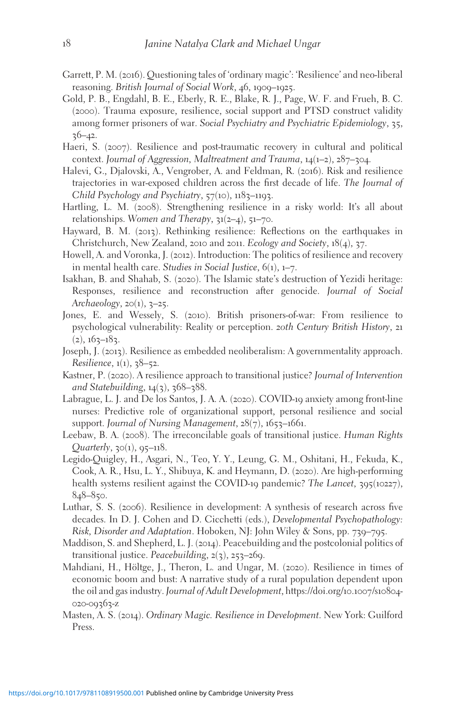- Garrett, P. M. (2016). Questioning tales of 'ordinary magic': 'Resilience' and neo-liberal reasoning. British Journal of Social Work, 46, 1909–1925.
- Gold, P. B., Engdahl, B. E., Eberly, R. E., Blake, R. J., Page, W. F. and Frueh, B. C. (2000). Trauma exposure, resilience, social support and PTSD construct validity among former prisoners of war. Social Psychiatry and Psychiatric Epidemiology, 35,  $36 - 42$ .
- Haeri, S. (2007). Resilience and post-traumatic recovery in cultural and political context. Journal of Aggression, Maltreatment and Trauma,  $14(1-2)$ ,  $287-304$ .
- Halevi, G., Djalovski, A., Vengrober, A. and Feldman, R. (2016). Risk and resilience trajectories in war-exposed children across the first decade of life. The Journal of Child Psychology and Psychiatry, 57(10), 1183–1193.
- Hartling, L. M. (2008). Strengthening resilience in a risky world: It's all about relationships. Women and Therapy,  $31(2-4)$ ,  $51-70$ .
- Hayward, B. M. (2013). Rethinking resilience: Reflections on the earthquakes in Christchurch, New Zealand, 2010 and 2011. Ecology and Society, 18(4), 37.
- Howell, A. and Voronka, J. (2012). Introduction: The politics of resilience and recovery in mental health care. Studies in Social Justice,  $6(1)$ ,  $1-7$ .
- Isakhan, B. and Shahab, S. (2020). The Islamic state's destruction of Yezidi heritage: Responses, resilience and reconstruction after genocide. Journal of Social Archaeology,  $2O(1)$ ,  $3-25$ .
- Jones, E. and Wessely, S. (2010). British prisoners-of-war: From resilience to psychological vulnerability: Reality or perception. 20th Century British History, 21  $(2), 163 - 183.$
- Joseph, J. (2013). Resilience as embedded neoliberalism: A governmentality approach. Resilience, 1(1), 38–52.
- Kastner, P. (2020). A resilience approach to transitional justice? Journal of Intervention and Statebuilding,  $14(3)$ ,  $368-388$ .
- Labrague, L. J. and De los Santos, J. A. A. (2020). COVID-19 anxiety among front-line nurses: Predictive role of organizational support, personal resilience and social support. Journal of Nursing Management, 28(7), 1653-1661.
- Leebaw, B. A. (2008). The irreconcilable goals of transitional justice. Human Rights  $Quarterly, 30(1), 95-118.$
- Legido-Quigley, H., Asgari, N., Teo, Y. Y., Leung, G. M., Oshitani, H., Fekuda, K., Cook, A. R., Hsu, L. Y., Shibuya, K. and Heymann, D. (2020). Are high-performing health systems resilient against the COVID-19 pandemic? The Lancet,  $395(10227)$ , 848–850.
- Luthar, S. S. (2006). Resilience in development: A synthesis of research across five decades. In D. J. Cohen and D. Cicchetti (eds.), Developmental Psychopathology: Risk, Disorder and Adaptation. Hoboken, NJ: John Wiley & Sons, pp. 739–795.
- Maddison, S. and Shepherd, L. J. (2014). Peacebuilding and the postcolonial politics of transitional justice. Peacebuilding,  $2(3)$ ,  $253-269$ .
- Mahdiani, H., Höltge, J., Theron, L. and Ungar, M. (2020). Resilience in times of economic boom and bust: A narrative study of a rural population dependent upon the oil and gas industry. Journal of Adult Development, [https://doi.org/](https://doi.org/10.1007/s10804-020-09363-z)10.1007/s10804- 020-[09363](https://doi.org/10.1007/s10804-020-09363-z)-z
- Masten, A. S. (2014). Ordinary Magic. Resilience in Development. New York: Guilford Press.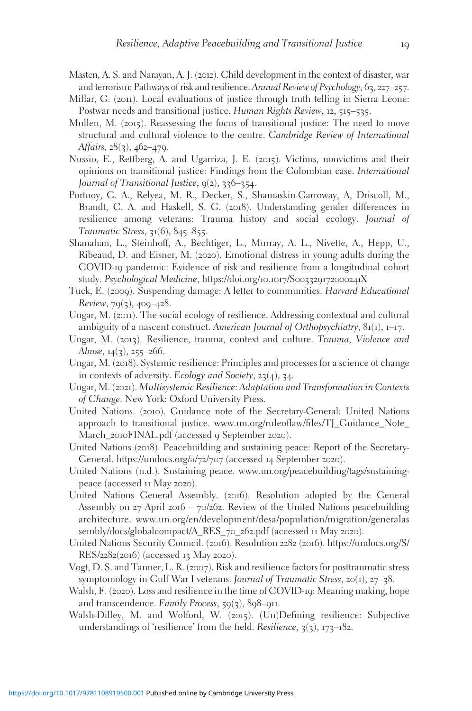- Masten, A. S. and Narayan, A. J. (2012). Child development in the context of disaster, war and terrorism: Pathways of risk and resilience. Annual Review of Psychology, 63, 227–257.
- Millar, G. (2011). Local evaluations of justice through truth telling in Sierra Leone: Postwar needs and transitional justice. Human Rights Review, 12, 515–535.
- Mullen, M. (2015). Reassessing the focus of transitional justice: The need to move structural and cultural violence to the centre. Cambridge Review of International Affairs,  $28(3)$ ,  $462-479$ .
- Nussio, E., Rettberg, A. and Ugarriza, J. E. (2015). Victims, nonvictims and their opinions on transitional justice: Findings from the Colombian case. International Journal of Transitional Justice, 9(2), 336–354.
- Portnoy, G. A., Relyea, M. R., Decker, S., Shamaskin-Garroway, A, Driscoll, M., Brandt, C. A. and Haskell, S. G. (2018). Understanding gender differences in resilience among veterans: Trauma history and social ecology. Journal of Traumatic Stress, 31(6), 845–855.
- Shanahan, L., Steinhoff, A., Bechtiger, L., Murray, A. L., Nivette, A., Hepp, U., Ribeaud, D. and Eisner, M. (2020). Emotional distress in young adults during the COVID-19 pandemic: Evidence of risk and resilience from a longitudinal cohort study. Psychological Medicine, [https://doi.org/](https://doi.org/10.1017/S003329172000241X)10.1017/S003329172000241X
- Tuck, E. (2009). Suspending damage: A letter to communities. Harvard Educational Review,  $79(3)$ ,  $409-428$ .
- Ungar, M. (2011). The social ecology of resilience. Addressing contextual and cultural ambiguity of a nascent construct. American Journal of Orthopsychiatry,  $81(1)$ ,  $1-17$ .
- Ungar, M. (2013). Resilience, trauma, context and culture. Trauma, Violence and Abuse, 14(3), 255–266.
- Ungar, M. (2018). Systemic resilience: Principles and processes for a science of change in contexts of adversity. Ecology and Society, 23(4), 34.
- Ungar, M. (2021). Multisystemic Resilience: Adaptation and Transformation in Contexts of Change. New York: Oxford University Press.
- United Nations. (2010). Guidance note of the Secretary-General: United Nations approach to transitional justice. [www.un.org/ruleoflaw/files/TJ\\_Guidance\\_Note\\_](http://www.un.org/ruleoflaw/files/TJ%5FGuidance%5FNote%5FMarch%5F2010FINAL.pdf) March\_2010[FINAL.pdf](http://www.un.org/ruleoflaw/files/TJ%5FGuidance%5FNote%5FMarch%5F2010FINAL.pdf) (accessed 9 September 2020).
- United Nations (2018). Peacebuilding and sustaining peace: Report of the Secretary-General. [https://undocs.org/a/](https://undocs.org/a/72/707)72/707 (accessed 14 September 2020).
- United Nations (n.d.). Sustaining peace. [www.un.org/peacebuilding/tags/sustaining](http://www.un.org/peacebuilding/tags/sustaining-peace)[peace](http://www.un.org/peacebuilding/tags/sustaining-peace) (accessed 11 May 2020).
- United Nations General Assembly. (2016). Resolution adopted by the General Assembly on 27 April 2016 – 70/262. Review of the United Nations peacebuilding architecture. [www.un.org/en/development/desa/population/migration/generalas](http://www.un.org/en/development/desa/population/migration/generalassembly/docs/globalcompact/A%5FRES%5F70%5F262.pdf) [sembly/docs/globalcompact/A\\_RES\\_](http://www.un.org/en/development/desa/population/migration/generalassembly/docs/globalcompact/A%5FRES%5F70%5F262.pdf)70\_262.pdf (accessed 11 May 2020).
- United Nations Security Council. (2016). Resolution 2282 (2016). [https://undocs.org/S/](https://undocs.org/S/RES/2282(2016)) [RES/](https://undocs.org/S/RES/2282(2016))2282(2016) (accessed 13 May 2020).
- Vogt, D. S. and Tanner, L. R. (2007). Risk and resilience factors for posttraumatic stress symptomology in Gulf War I veterans. Journal of Traumatic Stress, 20(1), 27–38.
- Walsh, F. (2020). Loss and resilience in the time of COVID-19: Meaning making, hope and transcendence. Family Process,  $59(3)$ ,  $898-911$ .
- Walsh-Dilley, M. and Wolford, W. (2015). (Un)Defining resilience: Subjective understandings of 'resilience' from the field. Resilience,  $3(3)$ , 173–182.